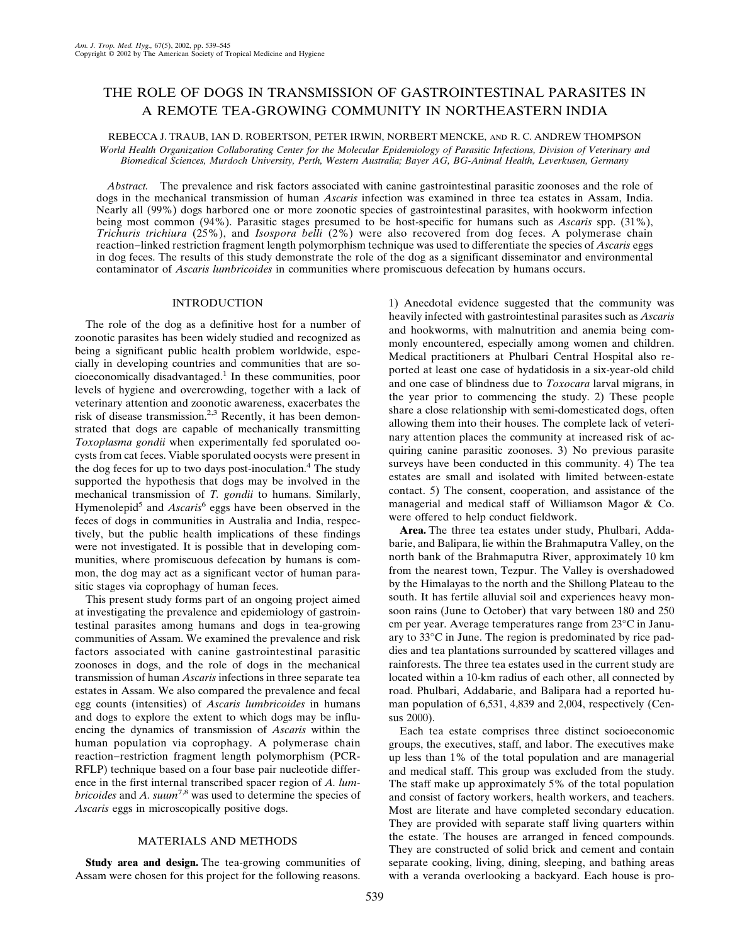# THE ROLE OF DOGS IN TRANSMISSION OF GASTROINTESTINAL PARASITES IN A REMOTE TEA-GROWING COMMUNITY IN NORTHEASTERN INDIA

### REBECCA J. TRAUB, IAN D. ROBERTSON, PETER IRWIN, NORBERT MENCKE, AND R. C. ANDREW THOMPSON *World Health Organization Collaborating Center for the Molecular Epidemiology of Parasitic Infections, Division of Veterinary and Biomedical Sciences, Murdoch University, Perth, Western Australia; Bayer AG, BG-Animal Health, Leverkusen, Germany*

*Abstract.* The prevalence and risk factors associated with canine gastrointestinal parasitic zoonoses and the role of dogs in the mechanical transmission of human *Ascaris* infection was examined in three tea estates in Assam, India. Nearly all (99%) dogs harbored one or more zoonotic species of gastrointestinal parasites, with hookworm infection being most common (94%). Parasitic stages presumed to be host-specific for humans such as *Ascaris* spp. (31%), *Trichuris trichiura* (25%), and *Isospora belli* (2%) were also recovered from dog feces. A polymerase chain reaction−linked restriction fragment length polymorphism technique was used to differentiate the species of *Ascaris* eggs in dog feces. The results of this study demonstrate the role of the dog as a significant disseminator and environmental contaminator of *Ascaris lumbricoides* in communities where promiscuous defecation by humans occurs.

## INTRODUCTION

The role of the dog as a definitive host for a number of zoonotic parasites has been widely studied and recognized as being a significant public health problem worldwide, especially in developing countries and communities that are socioeconomically disadvantaged.<sup>1</sup> In these communities, poor levels of hygiene and overcrowding, together with a lack of veterinary attention and zoonotic awareness, exacerbates the risk of disease transmission.<sup>2,3</sup> Recently, it has been demonstrated that dogs are capable of mechanically transmitting *Toxoplasma gondii* when experimentally fed sporulated oocysts from cat feces. Viable sporulated oocysts were present in the dog feces for up to two days post-inoculation.<sup>4</sup> The study supported the hypothesis that dogs may be involved in the mechanical transmission of *T. gondii* to humans. Similarly, Hymenolepid5 and *Ascaris*<sup>6</sup> eggs have been observed in the feces of dogs in communities in Australia and India, respectively, but the public health implications of these findings were not investigated. It is possible that in developing communities, where promiscuous defecation by humans is common, the dog may act as a significant vector of human parasitic stages via coprophagy of human feces.

This present study forms part of an ongoing project aimed at investigating the prevalence and epidemiology of gastrointestinal parasites among humans and dogs in tea-growing communities of Assam. We examined the prevalence and risk factors associated with canine gastrointestinal parasitic zoonoses in dogs, and the role of dogs in the mechanical transmission of human *Ascaris* infections in three separate tea estates in Assam. We also compared the prevalence and fecal egg counts (intensities) of *Ascaris lumbricoides* in humans and dogs to explore the extent to which dogs may be influencing the dynamics of transmission of *Ascaris* within the human population via coprophagy. A polymerase chain reaction−restriction fragment length polymorphism (PCR-RFLP) technique based on a four base pair nucleotide difference in the first internal transcribed spacer region of *A. lumbricoides* and *A. suum*7,8 was used to determine the species of *Ascaris* eggs in microscopically positive dogs.

# MATERIALS AND METHODS

**Study area and design.** The tea-growing communities of Assam were chosen for this project for the following reasons.

1) Anecdotal evidence suggested that the community was heavily infected with gastrointestinal parasites such as *Ascaris* and hookworms, with malnutrition and anemia being commonly encountered, especially among women and children. Medical practitioners at Phulbari Central Hospital also reported at least one case of hydatidosis in a six-year-old child and one case of blindness due to *Toxocara* larval migrans, in the year prior to commencing the study. 2) These people share a close relationship with semi-domesticated dogs, often allowing them into their houses. The complete lack of veterinary attention places the community at increased risk of acquiring canine parasitic zoonoses. 3) No previous parasite surveys have been conducted in this community. 4) The tea estates are small and isolated with limited between-estate contact. 5) The consent, cooperation, and assistance of the managerial and medical staff of Williamson Magor  $&$  Co. were offered to help conduct fieldwork.

**Area.** The three tea estates under study, Phulbari, Addabarie, and Balipara, lie within the Brahmaputra Valley, on the north bank of the Brahmaputra River, approximately 10 km from the nearest town, Tezpur. The Valley is overshadowed by the Himalayas to the north and the Shillong Plateau to the south. It has fertile alluvial soil and experiences heavy monsoon rains (June to October) that vary between 180 and 250 cm per year. Average temperatures range from 23°C in January to 33°C in June. The region is predominated by rice paddies and tea plantations surrounded by scattered villages and rainforests. The three tea estates used in the current study are located within a 10-km radius of each other, all connected by road. Phulbari, Addabarie, and Balipara had a reported human population of 6,531, 4,839 and 2,004, respectively (Census 2000).

Each tea estate comprises three distinct socioeconomic groups, the executives, staff, and labor. The executives make up less than 1% of the total population and are managerial and medical staff. This group was excluded from the study. The staff make up approximately 5% of the total population and consist of factory workers, health workers, and teachers. Most are literate and have completed secondary education. They are provided with separate staff living quarters within the estate. The houses are arranged in fenced compounds. They are constructed of solid brick and cement and contain separate cooking, living, dining, sleeping, and bathing areas with a veranda overlooking a backyard. Each house is pro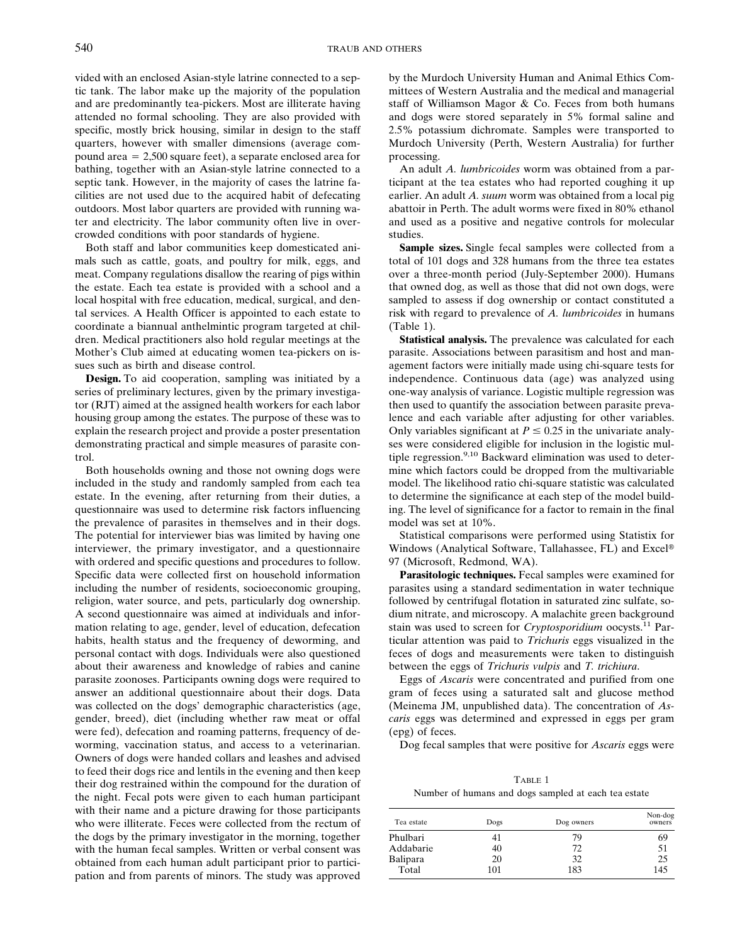vided with an enclosed Asian-style latrine connected to a septic tank. The labor make up the majority of the population and are predominantly tea-pickers. Most are illiterate having attended no formal schooling. They are also provided with specific, mostly brick housing, similar in design to the staff quarters, however with smaller dimensions (average compound area  $= 2,500$  square feet), a separate enclosed area for bathing, together with an Asian-style latrine connected to a septic tank. However, in the majority of cases the latrine facilities are not used due to the acquired habit of defecating outdoors. Most labor quarters are provided with running water and electricity. The labor community often live in overcrowded conditions with poor standards of hygiene.

Both staff and labor communities keep domesticated animals such as cattle, goats, and poultry for milk, eggs, and meat. Company regulations disallow the rearing of pigs within the estate. Each tea estate is provided with a school and a local hospital with free education, medical, surgical, and dental services. A Health Officer is appointed to each estate to coordinate a biannual anthelmintic program targeted at children. Medical practitioners also hold regular meetings at the Mother's Club aimed at educating women tea-pickers on issues such as birth and disease control.

**Design.** To aid cooperation, sampling was initiated by a series of preliminary lectures, given by the primary investigator (RJT) aimed at the assigned health workers for each labor housing group among the estates. The purpose of these was to explain the research project and provide a poster presentation demonstrating practical and simple measures of parasite control.

Both households owning and those not owning dogs were included in the study and randomly sampled from each tea estate. In the evening, after returning from their duties, a questionnaire was used to determine risk factors influencing the prevalence of parasites in themselves and in their dogs. The potential for interviewer bias was limited by having one interviewer, the primary investigator, and a questionnaire with ordered and specific questions and procedures to follow. Specific data were collected first on household information including the number of residents, socioeconomic grouping, religion, water source, and pets, particularly dog ownership. A second questionnaire was aimed at individuals and information relating to age, gender, level of education, defecation habits, health status and the frequency of deworming, and personal contact with dogs. Individuals were also questioned about their awareness and knowledge of rabies and canine parasite zoonoses. Participants owning dogs were required to answer an additional questionnaire about their dogs. Data was collected on the dogs' demographic characteristics (age, gender, breed), diet (including whether raw meat or offal were fed), defecation and roaming patterns, frequency of deworming, vaccination status, and access to a veterinarian. Owners of dogs were handed collars and leashes and advised to feed their dogs rice and lentils in the evening and then keep their dog restrained within the compound for the duration of the night. Fecal pots were given to each human participant with their name and a picture drawing for those participants who were illiterate. Feces were collected from the rectum of the dogs by the primary investigator in the morning, together with the human fecal samples. Written or verbal consent was obtained from each human adult participant prior to participation and from parents of minors. The study was approved by the Murdoch University Human and Animal Ethics Committees of Western Australia and the medical and managerial staff of Williamson Magor & Co. Feces from both humans and dogs were stored separately in 5% formal saline and 2.5% potassium dichromate. Samples were transported to Murdoch University (Perth, Western Australia) for further processing.

An adult *A. lumbricoides* worm was obtained from a participant at the tea estates who had reported coughing it up earlier. An adult *A. suum* worm was obtained from a local pig abattoir in Perth. The adult worms were fixed in 80% ethanol and used as a positive and negative controls for molecular studies.

**Sample sizes.** Single fecal samples were collected from a total of 101 dogs and 328 humans from the three tea estates over a three-month period (July-September 2000). Humans that owned dog, as well as those that did not own dogs, were sampled to assess if dog ownership or contact constituted a risk with regard to prevalence of *A. lumbricoides* in humans (Table 1).

**Statistical analysis.** The prevalence was calculated for each parasite. Associations between parasitism and host and management factors were initially made using chi-square tests for independence. Continuous data (age) was analyzed using one-way analysis of variance. Logistic multiple regression was then used to quantify the association between parasite prevalence and each variable after adjusting for other variables. Only variables significant at  $P \leq 0.25$  in the univariate analyses were considered eligible for inclusion in the logistic multiple regression.<sup>9,10</sup> Backward elimination was used to determine which factors could be dropped from the multivariable model. The likelihood ratio chi-square statistic was calculated to determine the significance at each step of the model building. The level of significance for a factor to remain in the final model was set at 10%.

Statistical comparisons were performed using Statistix for Windows (Analytical Software, Tallahassee, FL) and Excel® 97 (Microsoft, Redmond, WA).

Parasitologic techniques. Fecal samples were examined for parasites using a standard sedimentation in water technique followed by centrifugal flotation in saturated zinc sulfate, sodium nitrate, and microscopy. A malachite green background stain was used to screen for *Cryptosporidium* oocysts.11 Particular attention was paid to *Trichuris* eggs visualized in the feces of dogs and measurements were taken to distinguish between the eggs of *Trichuris vulpis* and *T. trichiura*.

Eggs of *Ascaris* were concentrated and purified from one gram of feces using a saturated salt and glucose method (Meinema JM, unpublished data). The concentration of *Ascaris* eggs was determined and expressed in eggs per gram (epg) of feces.

Dog fecal samples that were positive for *Ascaris* eggs were

TABLE 1

Number of humans and dogs sampled at each tea estate

| Tea estate | Dogs | Dog owners | Non-dog<br>owners |
|------------|------|------------|-------------------|
| Phulbari   | 41   | 79         | 69                |
| Addabarie  | 40   | 72         | 51                |
| Balipara   | 20   | 32         | 25                |
| Total      | 101  | 183        | 145               |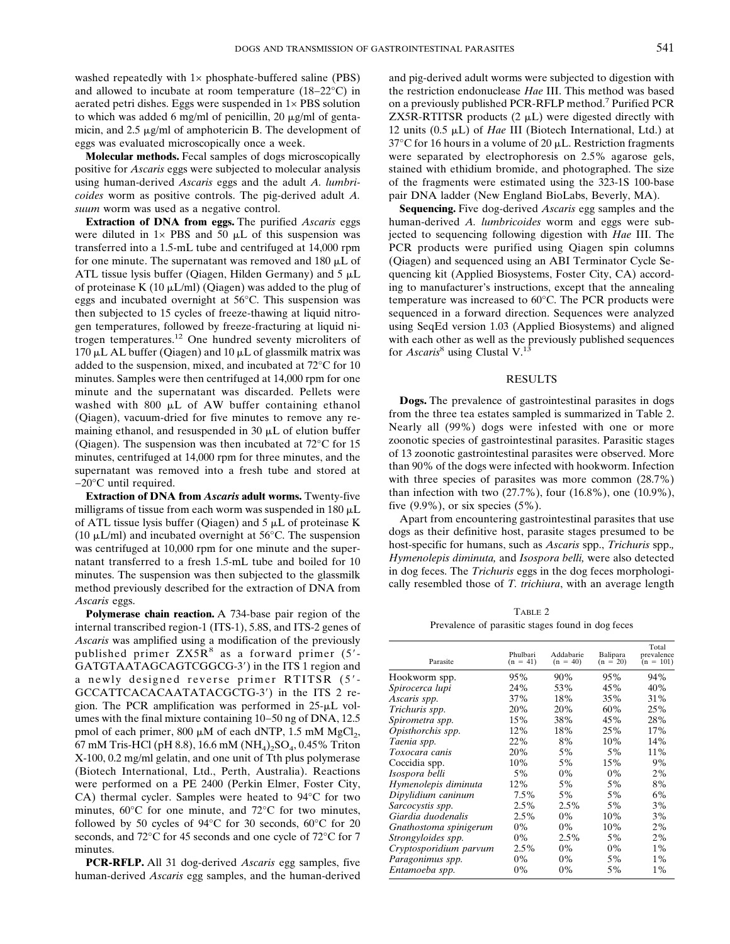washed repeatedly with  $1 \times$  phosphate-buffered saline (PBS) and allowed to incubate at room temperature (18−22°C) in aerated petri dishes. Eggs were suspended in 1× PBS solution to which was added 6 mg/ml of penicillin, 20  $\mu$ g/ml of gentamicin, and  $2.5 \mu g/ml$  of amphotericin B. The development of eggs was evaluated microscopically once a week.

**Molecular methods.** Fecal samples of dogs microscopically positive for *Ascaris* eggs were subjected to molecular analysis using human-derived *Ascaris* eggs and the adult *A. lumbricoides* worm as positive controls. The pig-derived adult *A. suum* worm was used as a negative control.

**Extraction of DNA from eggs.** The purified *Ascaris* eggs were diluted in  $1 \times$  PBS and 50  $\mu$ L of this suspension was transferred into a 1.5-mL tube and centrifuged at 14,000 rpm for one minute. The supernatant was removed and  $180 \mu L$  of ATL tissue lysis buffer (Qiagen, Hilden Germany) and  $5 \mu L$ of proteinase K (10  $\mu$ L/ml) (Qiagen) was added to the plug of eggs and incubated overnight at 56°C. This suspension was then subjected to 15 cycles of freeze-thawing at liquid nitrogen temperatures, followed by freeze-fracturing at liquid nitrogen temperatures.12 One hundred seventy microliters of 170  $\mu$ L AL buffer (Qiagen) and 10  $\mu$ L of glassmilk matrix was added to the suspension, mixed, and incubated at 72°C for 10 minutes. Samples were then centrifuged at 14,000 rpm for one minute and the supernatant was discarded. Pellets were washed with 800  $\mu$ L of AW buffer containing ethanol (Qiagen), vacuum-dried for five minutes to remove any remaining ethanol, and resuspended in  $30 \mu L$  of elution buffer (Qiagen). The suspension was then incubated at 72°C for 15 minutes, centrifuged at 14,000 rpm for three minutes, and the supernatant was removed into a fresh tube and stored at  $-20^{\circ}$ C until required.

**Extraction of DNA from** *Ascaris* **adult worms.** Twenty-five milligrams of tissue from each worm was suspended in 180  $\mu$ L of ATL tissue lysis buffer (Qiagen) and  $5 \mu L$  of proteinase K (10  $\mu$ L/ml) and incubated overnight at 56°C. The suspension was centrifuged at 10,000 rpm for one minute and the supernatant transferred to a fresh 1.5-mL tube and boiled for 10 minutes. The suspension was then subjected to the glassmilk method previously described for the extraction of DNA from *Ascaris* eggs.

**Polymerase chain reaction.** A 734-base pair region of the internal transcribed region-1 (ITS-1), 5.8S, and ITS-2 genes of *Ascaris* was amplified using a modification of the previously published primer  $ZX5R<sup>8</sup>$  as a forward primer (5'-GATGTAATAGCAGTCGGCG-3) in the ITS 1 region and a newly designed reverse primer RTITSR (5- GCCATTCACACAATATACGCTG-3) in the ITS 2 region. The PCR amplification was performed in  $25-\mu L$  volumes with the final mixture containing 10–50 ng of DNA, 12.5 pmol of each primer,  $800 \mu M$  of each dNTP, 1.5 mM  $MgCl_2$ , 67 mM Tris-HCl (pH 8.8), 16.6 mM (NH<sub>4</sub>)<sub>2</sub>SO<sub>4</sub>, 0.45% Triton X-100, 0.2 mg/ml gelatin, and one unit of Tth plus polymerase (Biotech International, Ltd., Perth, Australia). Reactions were performed on a PE 2400 (Perkin Elmer, Foster City, CA) thermal cycler. Samples were heated to 94°C for two minutes, 60°C for one minute, and 72°C for two minutes, followed by 50 cycles of 94°C for 30 seconds, 60°C for 20 seconds, and 72°C for 45 seconds and one cycle of 72°C for 7 minutes.

**PCR-RFLP.** All 31 dog-derived *Ascaris* egg samples, five human-derived *Ascaris* egg samples, and the human-derived and pig-derived adult worms were subjected to digestion with the restriction endonuclease *Hae* III. This method was based on a previously published PCR-RFLP method.7 Purified PCR  $ZX5R-RTITSR$  products  $(2 \mu L)$  were digested directly with 12 units (0.5 μL) of *Hae* III (Biotech International, Ltd.) at 37 $\rm{°C}$  for 16 hours in a volume of 20  $\mu$ L. Restriction fragments were separated by electrophoresis on 2.5% agarose gels, stained with ethidium bromide, and photographed. The size of the fragments were estimated using the 323-1S 100-base pair DNA ladder (New England BioLabs, Beverly, MA).

**Sequencing.** Five dog-derived *Ascaris* egg samples and the human-derived *A. lumbricoides* worm and eggs were subjected to sequencing following digestion with *Hae* III. The PCR products were purified using Qiagen spin columns (Qiagen) and sequenced using an ABI Terminator Cycle Sequencing kit (Applied Biosystems, Foster City, CA) according to manufacturer's instructions, except that the annealing temperature was increased to 60°C. The PCR products were sequenced in a forward direction. Sequences were analyzed using SeqEd version 1.03 (Applied Biosystems) and aligned with each other as well as the previously published sequences for *Ascaris*<sup>8</sup> using Clustal V.<sup>13</sup>

#### RESULTS

**Dogs.** The prevalence of gastrointestinal parasites in dogs from the three tea estates sampled is summarized in Table 2. Nearly all (99%) dogs were infested with one or more zoonotic species of gastrointestinal parasites. Parasitic stages of 13 zoonotic gastrointestinal parasites were observed. More than 90% of the dogs were infected with hookworm. Infection with three species of parasites was more common  $(28.7%)$ than infection with two (27.7%), four (16.8%), one (10.9%), five  $(9.9\%)$ , or six species  $(5\%)$ .

Apart from encountering gastrointestinal parasites that use dogs as their definitive host, parasite stages presumed to be host-specific for humans, such as *Ascaris* spp., *Trichuris* spp.*, Hymenolepis diminuta,* and *Isospora belli,* were also detected in dog feces. The *Trichuris* eggs in the dog feces morphologically resembled those of *T. trichiura*, with an average length

TABLE 2 Prevalence of parasitic stages found in dog feces

| Parasite               | Phulbari<br>$(n = 41)$ | Addabarie<br>$(n = 40)$ | Balipara<br>$(n = 20)$ | Total<br>prevalence<br>$(n = 101)$ |
|------------------------|------------------------|-------------------------|------------------------|------------------------------------|
| Hookworm spp.          | 95%                    | 90%                     | 95%                    | 94%                                |
| Spirocerca lupi        | 24%                    | 53%                     | 45%                    | 40%                                |
| Ascaris spp.           | 37%                    | 18%                     | 35%                    | 31%                                |
| Trichuris spp.         | 20%                    | 20%                     | 60%                    | 25%                                |
| Spirometra spp.        | 15%                    | 38%                     | 45%                    | 28%                                |
| Opisthorchis spp.      | 12%                    | 18%                     | 25%                    | 17%                                |
| Taenia spp.            | 22%                    | 8%                      | 10%                    | 14%                                |
| Toxocara canis         | 20%                    | 5%                      | 5%                     | 11%                                |
| Coccidia spp.          | 10%                    | 5%                      | 15%                    | 9%                                 |
| Isospora belli         | 5%                     | 0%                      | $0\%$                  | 2%                                 |
| Hymenolepis diminuta   | 12%                    | 5%                      | 5%                     | 8%                                 |
| Dipylidium caninum     | $7.5\%$                | 5%                      | 5%                     | 6%                                 |
| Sarcocystis spp.       | $2.5\%$                | $2.5\%$                 | 5%                     | 3%                                 |
| Giardia duodenalis     | $2.5\%$                | $0\%$                   | 10%                    | 3%                                 |
| Gnathostoma spinigerum | $0\%$                  | $0\%$                   | 10%                    | 2%                                 |
| Strongyloides spp.     | $0\%$                  | 2.5%                    | $5\%$                  | 2%                                 |
| Cryptosporidium parvum | $2.5\%$                | $0\%$                   | $0\%$                  | $1\%$                              |
| Paragonimus spp.       | $0\%$                  | $0\%$                   | 5%                     | $1\%$                              |
| Entamoeba spp.         | $0\%$                  | $0\%$                   | $5\%$                  | $1\%$                              |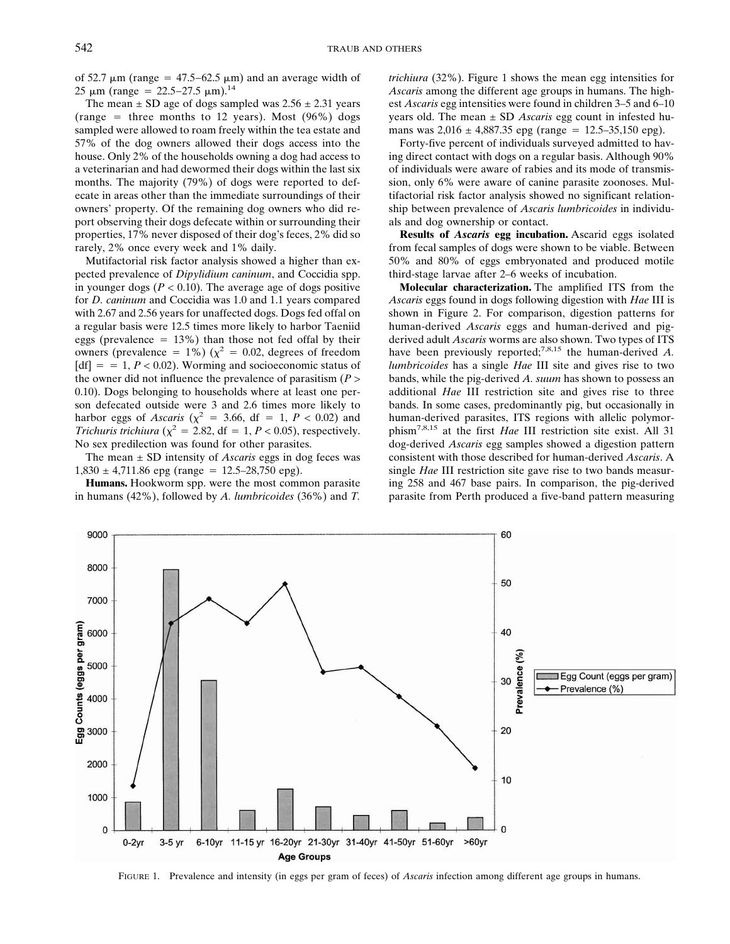of 52.7  $\mu$ m (range = 47.5–62.5  $\mu$ m) and an average width of 25 μm (range = 22.5–27.5 μm).<sup>14</sup>

The mean  $\pm$  SD age of dogs sampled was 2.56  $\pm$  2.31 years (range  $=$  three months to 12 years). Most (96%) dogs sampled were allowed to roam freely within the tea estate and 57% of the dog owners allowed their dogs access into the house. Only 2% of the households owning a dog had access to a veterinarian and had dewormed their dogs within the last six months. The majority (79%) of dogs were reported to defecate in areas other than the immediate surroundings of their owners' property. Of the remaining dog owners who did report observing their dogs defecate within or surrounding their properties, 17% never disposed of their dog's feces, 2% did so rarely, 2% once every week and 1% daily.

Mutifactorial risk factor analysis showed a higher than expected prevalence of *Dipylidium caninum*, and Coccidia spp. in younger dogs  $(P < 0.10)$ . The average age of dogs positive for *D. caninum* and Coccidia was 1.0 and 1.1 years compared with 2.67 and 2.56 years for unaffected dogs. Dogs fed offal on a regular basis were 12.5 times more likely to harbor Taeniid eggs (prevalence  $= 13\%$ ) than those not fed offal by their owners (prevalence = 1%) ( $\chi^2$  = 0.02, degrees of freedom  $[df] = 1, P < 0.02$ ). Worming and socioeconomic status of the owner did not influence the prevalence of parasitism (*P* > 0.10). Dogs belonging to households where at least one person defecated outside were 3 and 2.6 times more likely to harbor eggs of *Ascaris* ( $\chi^2$  = 3.66, df = 1, *P* < 0.02) and *Trichuris trichiura* ( $\chi^2$  = 2.82, df = 1, *P* < 0.05), respectively. No sex predilection was found for other parasites.

The mean ± SD intensity of *Ascaris* eggs in dog feces was  $1,830 \pm 4,711.86$  epg (range = 12.5–28,750 epg).

**Humans.** Hookworm spp. were the most common parasite in humans (42%), followed by *A. lumbricoides* (36%) and *T.* *trichiura* (32%). Figure 1 shows the mean egg intensities for *Ascaris* among the different age groups in humans. The highest *Ascaris* egg intensities were found in children 3–5 and 6–10 years old. The mean ± SD *Ascaris* egg count in infested humans was  $2,016 \pm 4,887.35$  epg (range = 12.5–35,150 epg).

Forty-five percent of individuals surveyed admitted to having direct contact with dogs on a regular basis. Although 90% of individuals were aware of rabies and its mode of transmission, only 6% were aware of canine parasite zoonoses. Multifactorial risk factor analysis showed no significant relationship between prevalence of *Ascaris lumbricoides* in individuals and dog ownership or contact.

**Results of** *Ascaris* **egg incubation.** Ascarid eggs isolated from fecal samples of dogs were shown to be viable. Between 50% and 80% of eggs embryonated and produced motile third-stage larvae after 2–6 weeks of incubation.

**Molecular characterization.** The amplified ITS from the *Ascaris* eggs found in dogs following digestion with *Hae* III is shown in Figure 2. For comparison, digestion patterns for human-derived *Ascaris* eggs and human-derived and pigderived adult *Ascaris* worms are also shown. Two types of ITS have been previously reported;<sup>7,8,15</sup> the human-derived *A*. *lumbricoides* has a single *Hae* III site and gives rise to two bands, while the pig-derived *A. suum* has shown to possess an additional *Hae* III restriction site and gives rise to three bands. In some cases, predominantly pig, but occasionally in human-derived parasites, ITS regions with allelic polymorphism7,8,15 at the first *Hae* III restriction site exist. All 31 dog-derived *Ascaris* egg samples showed a digestion pattern consistent with those described for human-derived *Ascaris*. A single *Hae* III restriction site gave rise to two bands measuring 258 and 467 base pairs. In comparison, the pig-derived parasite from Perth produced a five-band pattern measuring



FIGURE 1. Prevalence and intensity (in eggs per gram of feces) of *Ascaris* infection among different age groups in humans.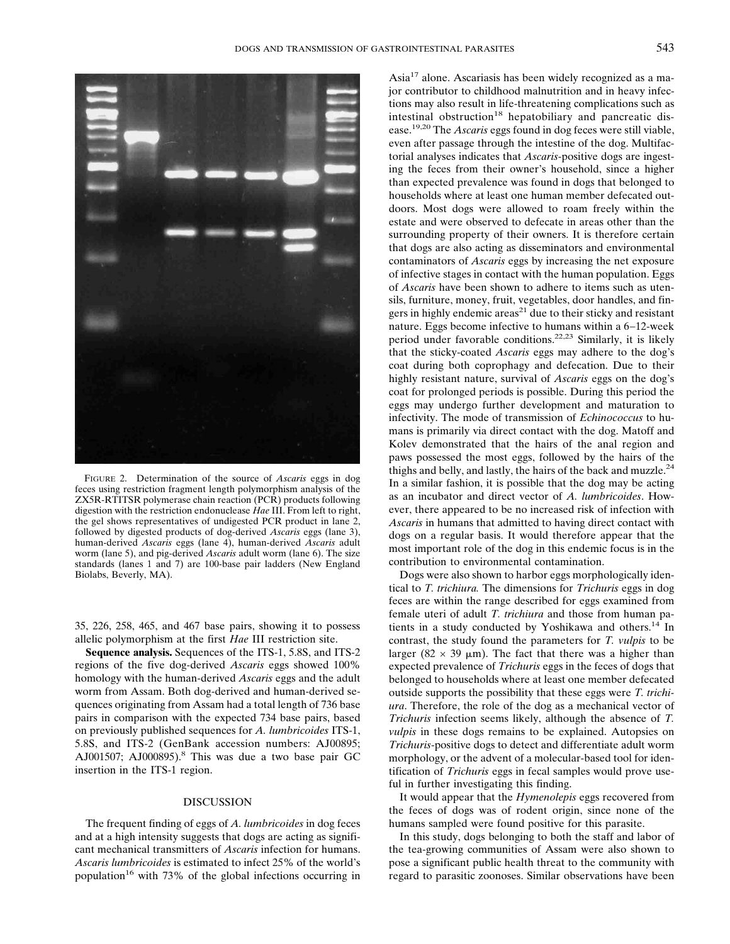

FIGURE 2. Determination of the source of *Ascaris* eggs in dog feces using restriction fragment length polymorphism analysis of the ZX5R-RTITSR polymerase chain reaction (PCR) products following digestion with the restriction endonuclease *Hae* III. From left to right, the gel shows representatives of undigested PCR product in lane 2, followed by digested products of dog-derived *Ascaris* eggs (lane 3), human-derived *Ascaris* eggs (lane 4), human-derived *Ascaris* adult worm (lane 5), and pig-derived *Ascaris* adult worm (lane 6). The size standards (lanes 1 and 7) are 100-base pair ladders (New England Biolabs, Beverly, MA).

35, 226, 258, 465, and 467 base pairs, showing it to possess allelic polymorphism at the first *Hae* III restriction site.

**Sequence analysis.** Sequences of the ITS-1, 5.8S, and ITS-2 regions of the five dog-derived *Ascaris* eggs showed 100% homology with the human-derived *Ascaris* eggs and the adult worm from Assam. Both dog-derived and human-derived sequences originating from Assam had a total length of 736 base pairs in comparison with the expected 734 base pairs, based on previously published sequences for *A. lumbricoides* ITS-1, 5.8S, and ITS-2 (GenBank accession numbers: AJ00895; AJ001507; AJ000895).<sup>8</sup> This was due a two base pair GC insertion in the ITS-1 region.

### DISCUSSION

The frequent finding of eggs of *A. lumbricoides* in dog feces and at a high intensity suggests that dogs are acting as significant mechanical transmitters of *Ascaris* infection for humans. *Ascaris lumbricoides* is estimated to infect 25% of the world's population<sup>16</sup> with 73% of the global infections occurring in

Asia17 alone. Ascariasis has been widely recognized as a major contributor to childhood malnutrition and in heavy infections may also result in life-threatening complications such as intestinal obstruction<sup>18</sup> hepatobiliary and pancreatic disease.19,20 The *Ascaris* eggs found in dog feces were still viable, even after passage through the intestine of the dog. Multifactorial analyses indicates that *Ascaris*-positive dogs are ingesting the feces from their owner's household, since a higher than expected prevalence was found in dogs that belonged to households where at least one human member defecated outdoors. Most dogs were allowed to roam freely within the estate and were observed to defecate in areas other than the surrounding property of their owners. It is therefore certain that dogs are also acting as disseminators and environmental contaminators of *Ascaris* eggs by increasing the net exposure of infective stages in contact with the human population. Eggs of *Ascaris* have been shown to adhere to items such as utensils, furniture, money, fruit, vegetables, door handles, and fingers in highly endemic areas $^{21}$  due to their sticky and resistant nature. Eggs become infective to humans within a 6−12-week period under favorable conditions.22,23 Similarly, it is likely that the sticky-coated *Ascaris* eggs may adhere to the dog's coat during both coprophagy and defecation. Due to their highly resistant nature, survival of *Ascaris* eggs on the dog's coat for prolonged periods is possible. During this period the eggs may undergo further development and maturation to infectivity. The mode of transmission of *Echinococcus* to humans is primarily via direct contact with the dog. Matoff and Kolev demonstrated that the hairs of the anal region and paws possessed the most eggs, followed by the hairs of the thighs and belly, and lastly, the hairs of the back and muzzle.<sup>24</sup> In a similar fashion, it is possible that the dog may be acting as an incubator and direct vector of *A. lumbricoides*. However, there appeared to be no increased risk of infection with *Ascaris* in humans that admitted to having direct contact with dogs on a regular basis. It would therefore appear that the most important role of the dog in this endemic focus is in the contribution to environmental contamination.

Dogs were also shown to harbor eggs morphologically identical to *T. trichiura*. The dimensions for *Trichuris* eggs in dog feces are within the range described for eggs examined from female uteri of adult *T. trichiura* and those from human patients in a study conducted by Yoshikawa and others.14 In contrast, the study found the parameters for *T. vulpis* to be larger (82  $\times$  39  $\mu$ m). The fact that there was a higher than expected prevalence of *Trichuris* eggs in the feces of dogs that belonged to households where at least one member defecated outside supports the possibility that these eggs were *T. trichiura*. Therefore, the role of the dog as a mechanical vector of *Trichuris* infection seems likely, although the absence of *T. vulpis* in these dogs remains to be explained. Autopsies on *Trichuris*-positive dogs to detect and differentiate adult worm morphology, or the advent of a molecular-based tool for identification of *Trichuris* eggs in fecal samples would prove useful in further investigating this finding.

It would appear that the *Hymenolepis* eggs recovered from the feces of dogs was of rodent origin, since none of the humans sampled were found positive for this parasite.

In this study, dogs belonging to both the staff and labor of the tea-growing communities of Assam were also shown to pose a significant public health threat to the community with regard to parasitic zoonoses. Similar observations have been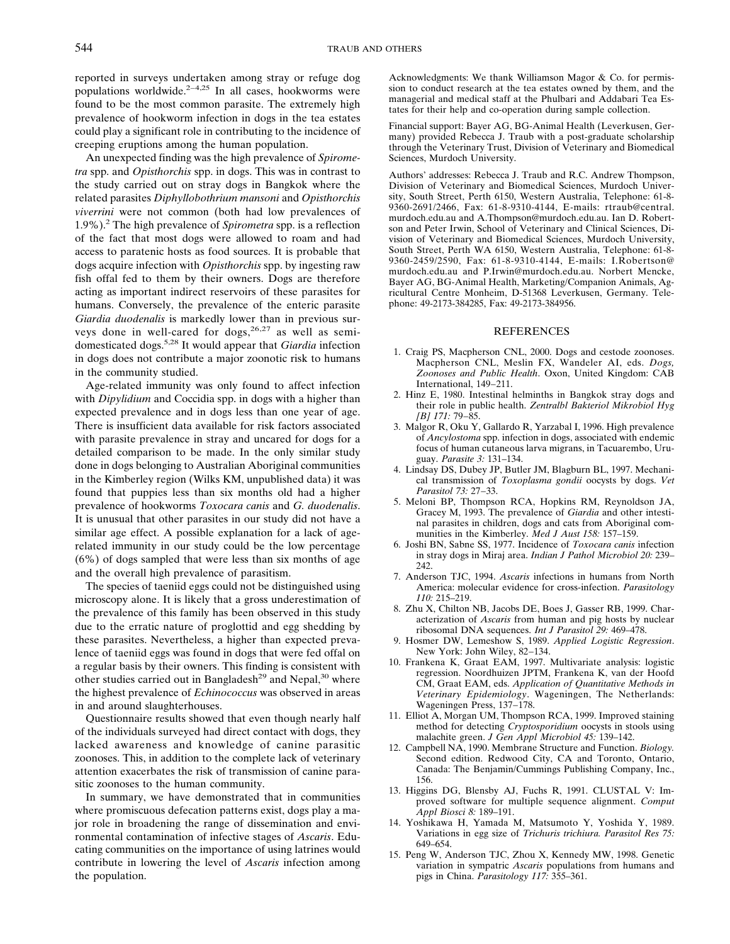reported in surveys undertaken among stray or refuge dog populations worldwide.2−4,25 In all cases, hookworms were found to be the most common parasite. The extremely high prevalence of hookworm infection in dogs in the tea estates could play a significant role in contributing to the incidence of creeping eruptions among the human population.

An unexpected finding was the high prevalence of *Spirometra* spp. and *Opisthorchis* spp. in dogs. This was in contrast to the study carried out on stray dogs in Bangkok where the related parasites *Diphyllobothrium mansoni* and *Opisthorchis viverrini* were not common (both had low prevalences of 1.9%).2 The high prevalence of *Spirometra* spp. is a reflection of the fact that most dogs were allowed to roam and had access to paratenic hosts as food sources. It is probable that dogs acquire infection with *Opisthorchis* spp. by ingesting raw fish offal fed to them by their owners. Dogs are therefore acting as important indirect reservoirs of these parasites for humans. Conversely, the prevalence of the enteric parasite *Giardia duodenalis* is markedly lower than in previous surveys done in well-cared for dogs,  $26.27$  as well as semidomesticated dogs.5,28 It would appear that *Giardia* infection in dogs does not contribute a major zoonotic risk to humans in the community studied.

Age-related immunity was only found to affect infection with *Dipylidium* and Coccidia spp. in dogs with a higher than expected prevalence and in dogs less than one year of age. There is insufficient data available for risk factors associated with parasite prevalence in stray and uncared for dogs for a detailed comparison to be made. In the only similar study done in dogs belonging to Australian Aboriginal communities in the Kimberley region (Wilks KM, unpublished data) it was found that puppies less than six months old had a higher prevalence of hookworms *Toxocara canis* and *G. duodenalis*. It is unusual that other parasites in our study did not have a similar age effect. A possible explanation for a lack of agerelated immunity in our study could be the low percentage (6%) of dogs sampled that were less than six months of age and the overall high prevalence of parasitism.

The species of taeniid eggs could not be distinguished using microscopy alone. It is likely that a gross underestimation of the prevalence of this family has been observed in this study due to the erratic nature of proglottid and egg shedding by these parasites. Nevertheless, a higher than expected prevalence of taeniid eggs was found in dogs that were fed offal on a regular basis by their owners. This finding is consistent with other studies carried out in Bangladesh<sup>29</sup> and Nepal,<sup>30</sup> where the highest prevalence of *Echinococcus* was observed in areas in and around slaughterhouses.

Questionnaire results showed that even though nearly half of the individuals surveyed had direct contact with dogs, they lacked awareness and knowledge of canine parasitic zoonoses. This, in addition to the complete lack of veterinary attention exacerbates the risk of transmission of canine parasitic zoonoses to the human community.

In summary, we have demonstrated that in communities where promiscuous defecation patterns exist, dogs play a major role in broadening the range of dissemination and environmental contamination of infective stages of *Ascaris*. Educating communities on the importance of using latrines would contribute in lowering the level of *Ascaris* infection among the population.

Acknowledgments: We thank Williamson Magor & Co. for permission to conduct research at the tea estates owned by them, and the managerial and medical staff at the Phulbari and Addabari Tea Estates for their help and co-operation during sample collection.

Financial support: Bayer AG, BG-Animal Health (Leverkusen, Germany) provided Rebecca J. Traub with a post-graduate scholarship through the Veterinary Trust, Division of Veterinary and Biomedical Sciences, Murdoch University.

Authors' addresses: Rebecca J. Traub and R.C. Andrew Thompson, Division of Veterinary and Biomedical Sciences, Murdoch University, South Street, Perth 6150, Western Australia, Telephone: 61-8- 9360-2691/2466, Fax: 61-8-9310-4144, E-mails: rtraub@central. murdoch.edu.au and A.Thompson@murdoch.edu.au. Ian D. Robertson and Peter Irwin, School of Veterinary and Clinical Sciences, Division of Veterinary and Biomedical Sciences, Murdoch University, South Street, Perth WA 6150, Western Australia, Telephone: 61-8- 9360-2459/2590, Fax: 61-8-9310-4144, E-mails: I.Robertson@ murdoch.edu.au and P.Irwin@murdoch.edu.au. Norbert Mencke, Bayer AG, BG-Animal Health, Marketing/Companion Animals, Agricultural Centre Monheim, D-51368 Leverkusen, Germany. Telephone: 49-2173-384285, Fax: 49-2173-384956.

#### REFERENCES

- 1. Craig PS, Macpherson CNL, 2000. Dogs and cestode zoonoses. Macpherson CNL, Meslin FX, Wandeler AI, eds. *Dogs, Zoonoses and Public Health*. Oxon, United Kingdom: CAB International, 149−211.
- 2. Hinz E, 1980. Intestinal helminths in Bangkok stray dogs and their role in public health. *Zentralbl Bakteriol Mikrobiol Hyg [B] 171:* 79−85.
- 3. Malgor R, Oku Y, Gallardo R, Yarzabal I, 1996. High prevalence of *Ancylostoma* spp. infection in dogs, associated with endemic focus of human cutaneous larva migrans, in Tacuarembo, Uruguay. *Parasite 3:* 131–134.
- 4. Lindsay DS, Dubey JP, Butler JM, Blagburn BL, 1997. Mechanical transmission of *Toxoplasma gondii* oocysts by dogs. Vet *Parasitol 73:* 27−33.
- 5. Meloni BP, Thompson RCA, Hopkins RM, Reynoldson JA, Gracey M, 1993. The prevalence of *Giardia* and other intestinal parasites in children, dogs and cats from Aboriginal communities in the Kimberley. *Med J Aust 158:* 157–159.
- 6. Joshi BN, Sabne SS, 1977. Incidence of *Toxocara canis* infection in stray dogs in Miraj area. *Indian J Pathol Microbiol 20:* 239– 242.
- 7. Anderson TJC, 1994. *Ascaris* infections in humans from North America: molecular evidence for cross-infection. *Parasitology 110:* 215–219.
- 8. Zhu X, Chilton NB, Jacobs DE, Boes J, Gasser RB, 1999. Characterization of *Ascaris* from human and pig hosts by nuclear ribosomalDNA sequences. *Int J Parasitol 29:* 469–478.
- 9. Hosmer DW, Lemeshow S, 1989. *Applied Logistic Regression*. New York: John Wiley, 82−134.
- 10. Frankena K, Graat EAM, 1997. Multivariate analysis: logistic regression. Noordhuizen JPTM, Frankena K, van der Hoofd CM, Graat EAM, eds. *Application of Quantitative Methods in Veterinary Epidemiology*. Wageningen, The Netherlands: Wageningen Press, 137−178.
- 11. Elliot A, Morgan UM, Thompson RCA, 1999. Improved staining method for detecting *Cryptosporidium* oocysts in stools using malachite green. *J Gen Appl Microbiol 45:* 139–142.
- 12. Campbell NA, 1990. Membrane Structure and Function. *Biology.* Second edition. Redwood City, CA and Toronto, Ontario, Canada: The Benjamin/Cummings Publishing Company, Inc., 156.
- 13. Higgins DG, Blensby AJ, Fuchs R, 1991. CLUSTAL V: Improved software for multiple sequence alignment. *Comput Appl Biosci 8:* 189–191.
- 14. Yoshikawa H, Yamada M, Matsumoto Y, Yoshida Y, 1989. Variations in egg size of *Trichuris trichiura. Parasitol Res 75:* 649–654.
- 15. Peng W, Anderson TJC, Zhou X, Kennedy MW, 1998. Genetic variation in sympatric *Ascaris* populations from humans and pigs in China. *Parasitology 117:* 355–361.